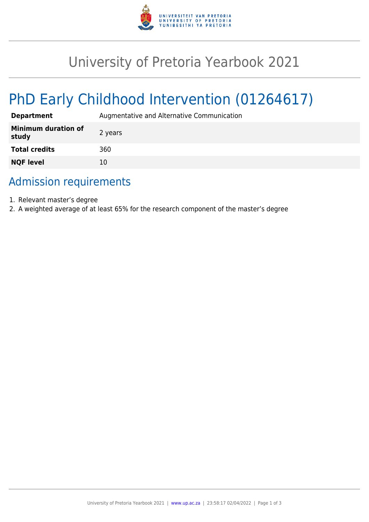

# University of Pretoria Yearbook 2021

# PhD Early Childhood Intervention (01264617)

| <b>Department</b>                   | Augmentative and Alternative Communication |
|-------------------------------------|--------------------------------------------|
| <b>Minimum duration of</b><br>study | 2 years                                    |
| <b>Total credits</b>                | 360                                        |
| <b>NQF level</b>                    | 10                                         |

## Admission requirements

- 1. Relevant master's degree
- 2. A weighted average of at least 65% for the research component of the master's degree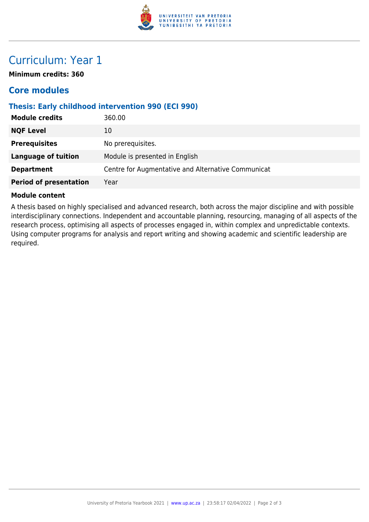

## Curriculum: Year 1

**Minimum credits: 360**

### **Core modules**

#### **Thesis: Early childhood intervention 990 (ECI 990)**

| <b>Module credits</b>         | 360.00                                             |
|-------------------------------|----------------------------------------------------|
| <b>NQF Level</b>              | 10                                                 |
| <b>Prerequisites</b>          | No prerequisites.                                  |
| <b>Language of tuition</b>    | Module is presented in English                     |
| <b>Department</b>             | Centre for Augmentative and Alternative Communicat |
| <b>Period of presentation</b> | Year                                               |

#### **Module content**

A thesis based on highly specialised and advanced research, both across the major discipline and with possible interdisciplinary connections. Independent and accountable planning, resourcing, managing of all aspects of the research process, optimising all aspects of processes engaged in, within complex and unpredictable contexts. Using computer programs for analysis and report writing and showing academic and scientific leadership are required.